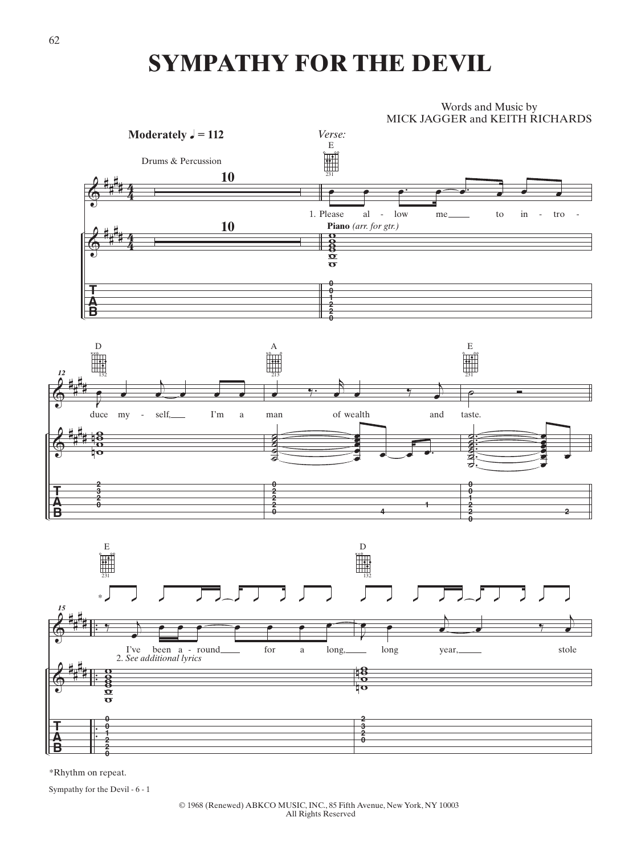## **SYMPATHY FOR THE DEVIL**



\*Rhythm on repeat.

Sympathy for the Devil - 6 - 1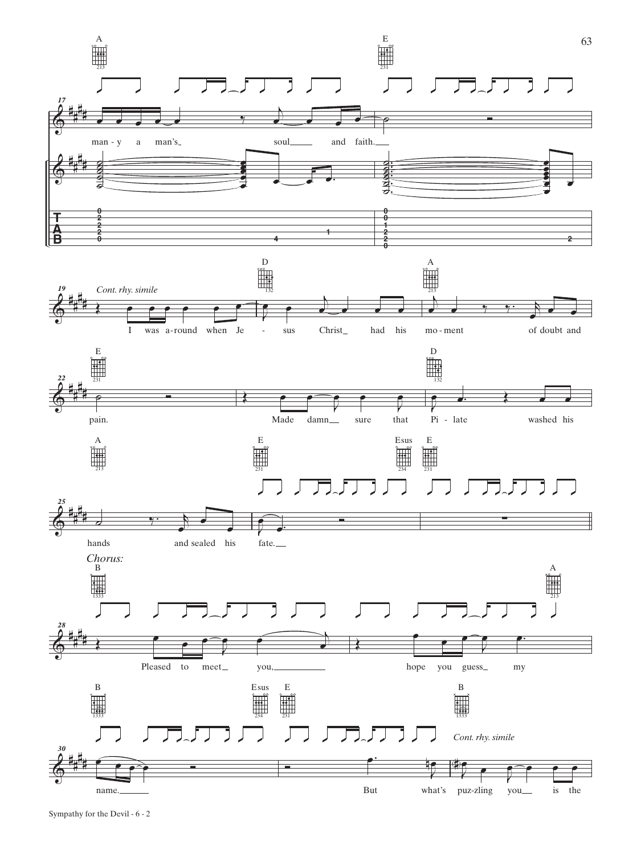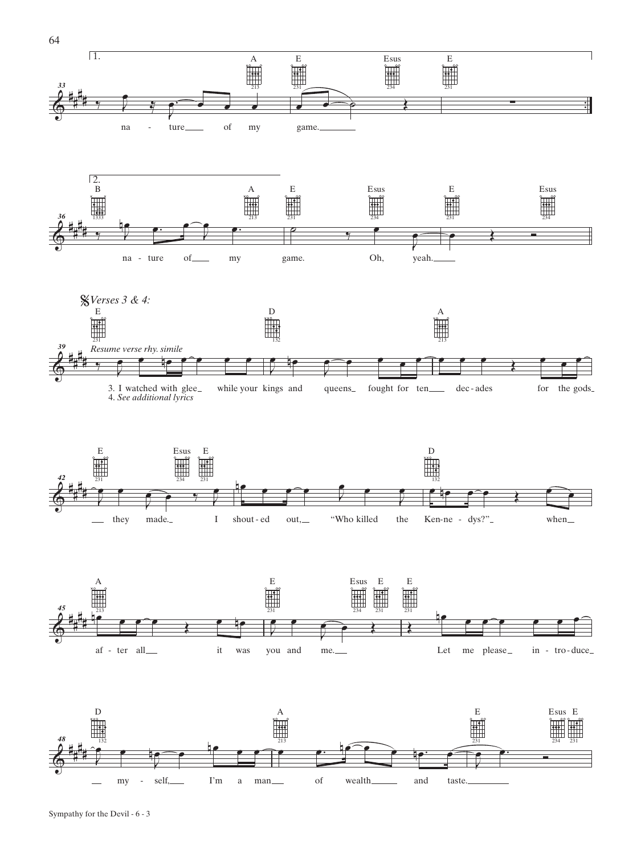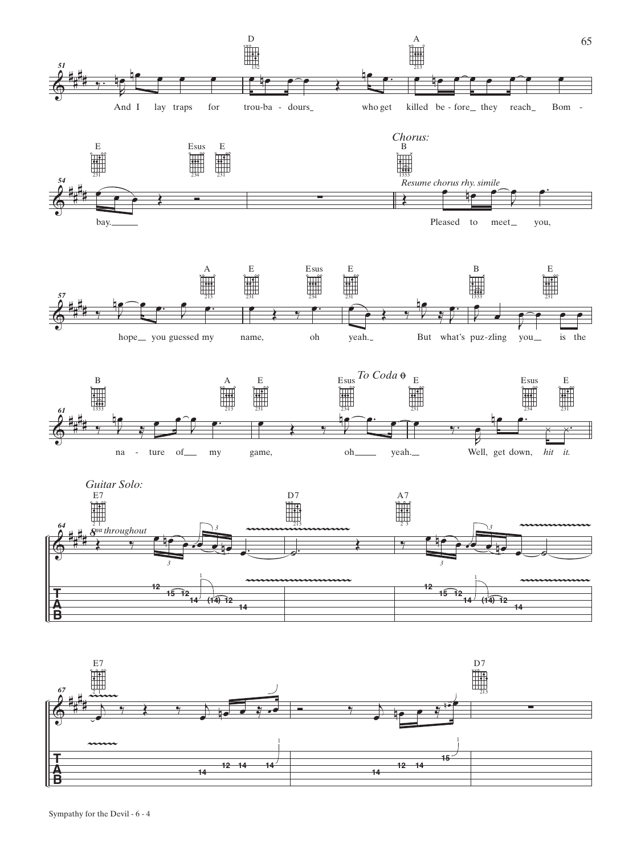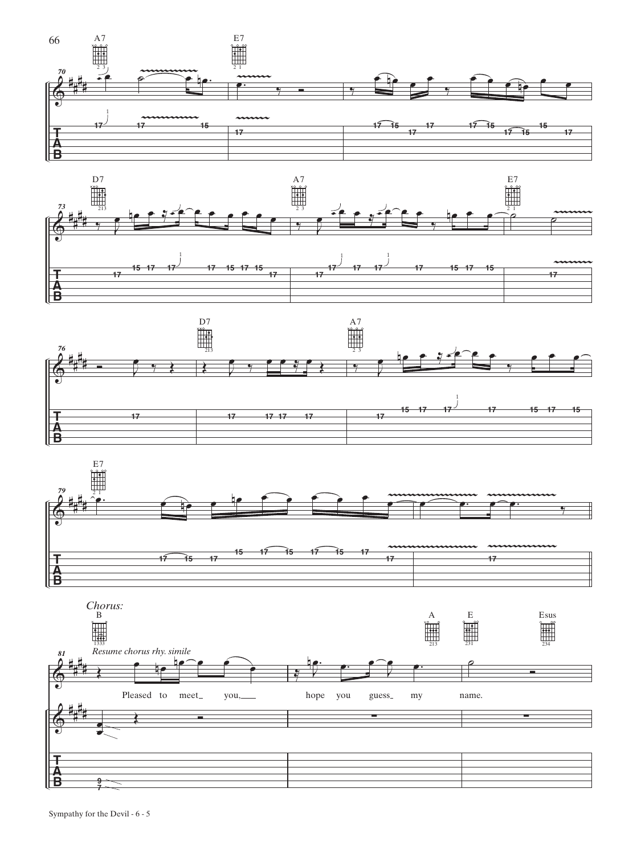